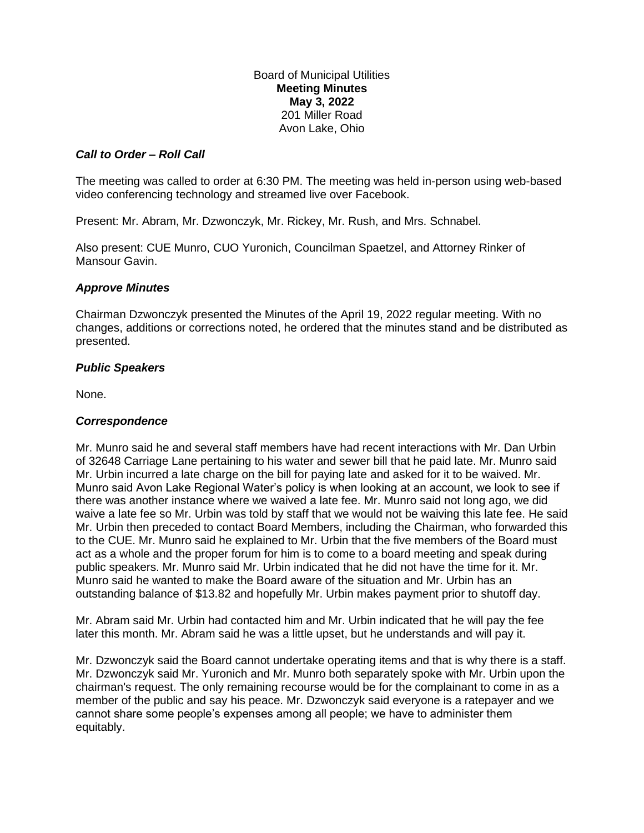Board of Municipal Utilities **Meeting Minutes May 3, 2022** 201 Miller Road Avon Lake, Ohio

## *Call to Order – Roll Call*

The meeting was called to order at 6:30 PM. The meeting was held in-person using web-based video conferencing technology and streamed live over Facebook.

Present: Mr. Abram, Mr. Dzwonczyk, Mr. Rickey, Mr. Rush, and Mrs. Schnabel.

Also present: CUE Munro, CUO Yuronich, Councilman Spaetzel, and Attorney Rinker of Mansour Gavin.

## *Approve Minutes*

Chairman Dzwonczyk presented the Minutes of the April 19, 2022 regular meeting. With no changes, additions or corrections noted, he ordered that the minutes stand and be distributed as presented.

## *Public Speakers*

None.

#### *Correspondence*

Mr. Munro said he and several staff members have had recent interactions with Mr. Dan Urbin of 32648 Carriage Lane pertaining to his water and sewer bill that he paid late. Mr. Munro said Mr. Urbin incurred a late charge on the bill for paying late and asked for it to be waived. Mr. Munro said Avon Lake Regional Water's policy is when looking at an account, we look to see if there was another instance where we waived a late fee. Mr. Munro said not long ago, we did waive a late fee so Mr. Urbin was told by staff that we would not be waiving this late fee. He said Mr. Urbin then preceded to contact Board Members, including the Chairman, who forwarded this to the CUE. Mr. Munro said he explained to Mr. Urbin that the five members of the Board must act as a whole and the proper forum for him is to come to a board meeting and speak during public speakers. Mr. Munro said Mr. Urbin indicated that he did not have the time for it. Mr. Munro said he wanted to make the Board aware of the situation and Mr. Urbin has an outstanding balance of \$13.82 and hopefully Mr. Urbin makes payment prior to shutoff day.

Mr. Abram said Mr. Urbin had contacted him and Mr. Urbin indicated that he will pay the fee later this month. Mr. Abram said he was a little upset, but he understands and will pay it.

Mr. Dzwonczyk said the Board cannot undertake operating items and that is why there is a staff. Mr. Dzwonczyk said Mr. Yuronich and Mr. Munro both separately spoke with Mr. Urbin upon the chairman's request. The only remaining recourse would be for the complainant to come in as a member of the public and say his peace. Mr. Dzwonczyk said everyone is a ratepayer and we cannot share some people's expenses among all people; we have to administer them equitably.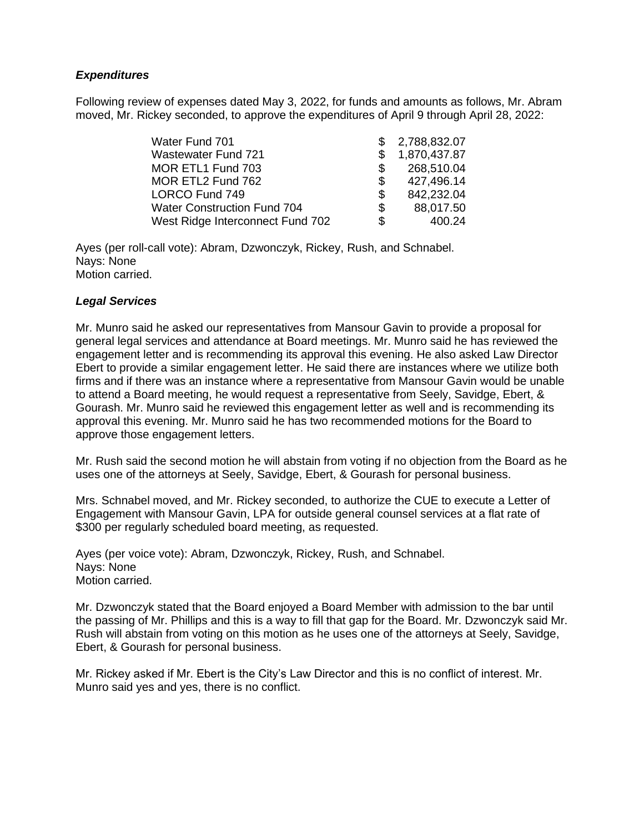# *Expenditures*

Following review of expenses dated May 3, 2022, for funds and amounts as follows, Mr. Abram moved, Mr. Rickey seconded, to approve the expenditures of April 9 through April 28, 2022:

| Water Fund 701                     | -SS | 2,788,832.07 |
|------------------------------------|-----|--------------|
| <b>Wastewater Fund 721</b>         |     | 1,870,437.87 |
| MOR ETL1 Fund 703                  | SS. | 268,510.04   |
| MOR ETL2 Fund 762                  | \$  | 427,496.14   |
| LORCO Fund 749                     | \$  | 842,232.04   |
| <b>Water Construction Fund 704</b> | S.  | 88,017.50    |
| West Ridge Interconnect Fund 702   | \$. | 400.24       |

Ayes (per roll-call vote): Abram, Dzwonczyk, Rickey, Rush, and Schnabel. Nays: None Motion carried.

#### *Legal Services*

Mr. Munro said he asked our representatives from Mansour Gavin to provide a proposal for general legal services and attendance at Board meetings. Mr. Munro said he has reviewed the engagement letter and is recommending its approval this evening. He also asked Law Director Ebert to provide a similar engagement letter. He said there are instances where we utilize both firms and if there was an instance where a representative from Mansour Gavin would be unable to attend a Board meeting, he would request a representative from Seely, Savidge, Ebert, & Gourash. Mr. Munro said he reviewed this engagement letter as well and is recommending its approval this evening. Mr. Munro said he has two recommended motions for the Board to approve those engagement letters.

Mr. Rush said the second motion he will abstain from voting if no objection from the Board as he uses one of the attorneys at Seely, Savidge, Ebert, & Gourash for personal business.

Mrs. Schnabel moved, and Mr. Rickey seconded, to authorize the CUE to execute a Letter of Engagement with Mansour Gavin, LPA for outside general counsel services at a flat rate of \$300 per regularly scheduled board meeting, as requested.

Ayes (per voice vote): Abram, Dzwonczyk, Rickey, Rush, and Schnabel. Nays: None Motion carried.

Mr. Dzwonczyk stated that the Board enjoyed a Board Member with admission to the bar until the passing of Mr. Phillips and this is a way to fill that gap for the Board. Mr. Dzwonczyk said Mr. Rush will abstain from voting on this motion as he uses one of the attorneys at Seely, Savidge, Ebert, & Gourash for personal business.

Mr. Rickey asked if Mr. Ebert is the City's Law Director and this is no conflict of interest. Mr. Munro said yes and yes, there is no conflict.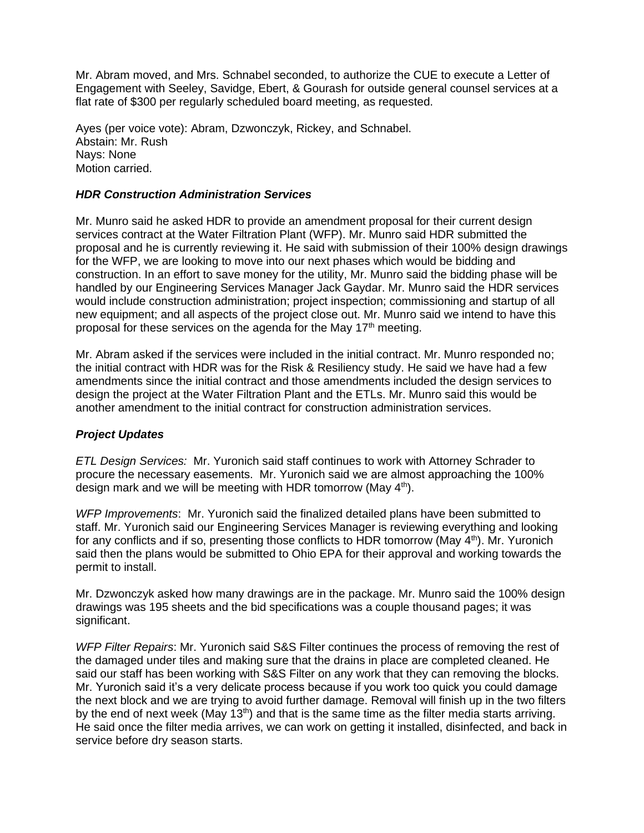Mr. Abram moved, and Mrs. Schnabel seconded, to authorize the CUE to execute a Letter of Engagement with Seeley, Savidge, Ebert, & Gourash for outside general counsel services at a flat rate of \$300 per regularly scheduled board meeting, as requested.

Ayes (per voice vote): Abram, Dzwonczyk, Rickey, and Schnabel. Abstain: Mr. Rush Nays: None Motion carried.

## *HDR Construction Administration Services*

Mr. Munro said he asked HDR to provide an amendment proposal for their current design services contract at the Water Filtration Plant (WFP). Mr. Munro said HDR submitted the proposal and he is currently reviewing it. He said with submission of their 100% design drawings for the WFP, we are looking to move into our next phases which would be bidding and construction. In an effort to save money for the utility, Mr. Munro said the bidding phase will be handled by our Engineering Services Manager Jack Gaydar. Mr. Munro said the HDR services would include construction administration; project inspection; commissioning and startup of all new equipment; and all aspects of the project close out. Mr. Munro said we intend to have this proposal for these services on the agenda for the May  $17<sup>th</sup>$  meeting.

Mr. Abram asked if the services were included in the initial contract. Mr. Munro responded no; the initial contract with HDR was for the Risk & Resiliency study. He said we have had a few amendments since the initial contract and those amendments included the design services to design the project at the Water Filtration Plant and the ETLs. Mr. Munro said this would be another amendment to the initial contract for construction administration services.

# *Project Updates*

*ETL Design Services:* Mr. Yuronich said staff continues to work with Attorney Schrader to procure the necessary easements. Mr. Yuronich said we are almost approaching the 100% design mark and we will be meeting with HDR tomorrow (May  $4<sup>th</sup>$ ).

*WFP Improvements*: Mr. Yuronich said the finalized detailed plans have been submitted to staff. Mr. Yuronich said our Engineering Services Manager is reviewing everything and looking for any conflicts and if so, presenting those conflicts to HDR tomorrow (May  $4<sup>th</sup>$ ). Mr. Yuronich said then the plans would be submitted to Ohio EPA for their approval and working towards the permit to install.

Mr. Dzwonczyk asked how many drawings are in the package. Mr. Munro said the 100% design drawings was 195 sheets and the bid specifications was a couple thousand pages; it was significant.

*WFP Filter Repairs*: Mr. Yuronich said S&S Filter continues the process of removing the rest of the damaged under tiles and making sure that the drains in place are completed cleaned. He said our staff has been working with S&S Filter on any work that they can removing the blocks. Mr. Yuronich said it's a very delicate process because if you work too quick you could damage the next block and we are trying to avoid further damage. Removal will finish up in the two filters by the end of next week (May 13<sup>th</sup>) and that is the same time as the filter media starts arriving. He said once the filter media arrives, we can work on getting it installed, disinfected, and back in service before dry season starts.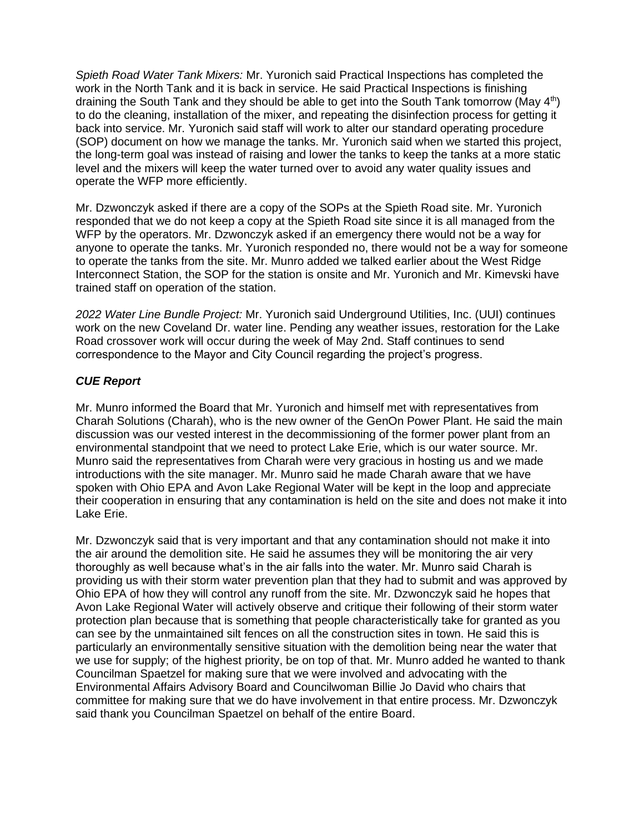*Spieth Road Water Tank Mixers:* Mr. Yuronich said Practical Inspections has completed the work in the North Tank and it is back in service. He said Practical Inspections is finishing draining the South Tank and they should be able to get into the South Tank tomorrow (May 4<sup>th</sup>) to do the cleaning, installation of the mixer, and repeating the disinfection process for getting it back into service. Mr. Yuronich said staff will work to alter our standard operating procedure (SOP) document on how we manage the tanks. Mr. Yuronich said when we started this project, the long-term goal was instead of raising and lower the tanks to keep the tanks at a more static level and the mixers will keep the water turned over to avoid any water quality issues and operate the WFP more efficiently.

Mr. Dzwonczyk asked if there are a copy of the SOPs at the Spieth Road site. Mr. Yuronich responded that we do not keep a copy at the Spieth Road site since it is all managed from the WFP by the operators. Mr. Dzwonczyk asked if an emergency there would not be a way for anyone to operate the tanks. Mr. Yuronich responded no, there would not be a way for someone to operate the tanks from the site. Mr. Munro added we talked earlier about the West Ridge Interconnect Station, the SOP for the station is onsite and Mr. Yuronich and Mr. Kimevski have trained staff on operation of the station.

*2022 Water Line Bundle Project:* Mr. Yuronich said Underground Utilities, Inc. (UUI) continues work on the new Coveland Dr. water line. Pending any weather issues, restoration for the Lake Road crossover work will occur during the week of May 2nd. Staff continues to send correspondence to the Mayor and City Council regarding the project's progress.

# *CUE Report*

Mr. Munro informed the Board that Mr. Yuronich and himself met with representatives from Charah Solutions (Charah), who is the new owner of the GenOn Power Plant. He said the main discussion was our vested interest in the decommissioning of the former power plant from an environmental standpoint that we need to protect Lake Erie, which is our water source. Mr. Munro said the representatives from Charah were very gracious in hosting us and we made introductions with the site manager. Mr. Munro said he made Charah aware that we have spoken with Ohio EPA and Avon Lake Regional Water will be kept in the loop and appreciate their cooperation in ensuring that any contamination is held on the site and does not make it into Lake Erie.

Mr. Dzwonczyk said that is very important and that any contamination should not make it into the air around the demolition site. He said he assumes they will be monitoring the air very thoroughly as well because what's in the air falls into the water. Mr. Munro said Charah is providing us with their storm water prevention plan that they had to submit and was approved by Ohio EPA of how they will control any runoff from the site. Mr. Dzwonczyk said he hopes that Avon Lake Regional Water will actively observe and critique their following of their storm water protection plan because that is something that people characteristically take for granted as you can see by the unmaintained silt fences on all the construction sites in town. He said this is particularly an environmentally sensitive situation with the demolition being near the water that we use for supply; of the highest priority, be on top of that. Mr. Munro added he wanted to thank Councilman Spaetzel for making sure that we were involved and advocating with the Environmental Affairs Advisory Board and Councilwoman Billie Jo David who chairs that committee for making sure that we do have involvement in that entire process. Mr. Dzwonczyk said thank you Councilman Spaetzel on behalf of the entire Board.